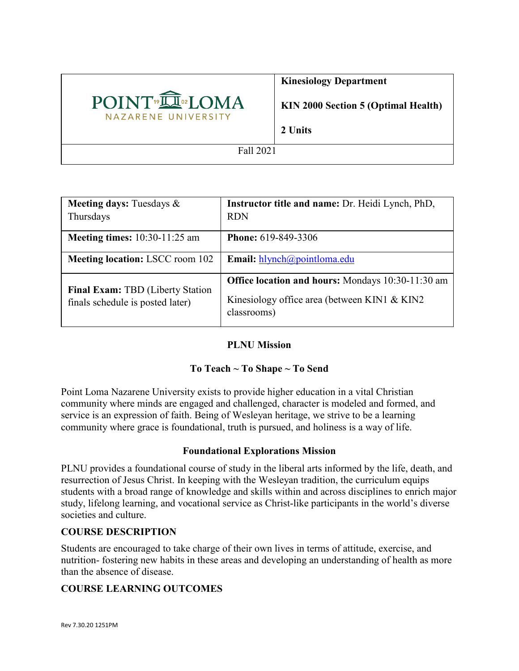

## **Kinesiology Department**

**KIN 2000 Section 5 (Optimal Health)**

**2 Units**

Fall 2021

| <b>Meeting days: Tuesdays &amp;</b><br>Thursdays                     | Instructor title and name: Dr. Heidi Lynch, PhD,<br><b>RDN</b>                                                          |
|----------------------------------------------------------------------|-------------------------------------------------------------------------------------------------------------------------|
| <b>Meeting times:</b> 10:30-11:25 am                                 | <b>Phone: 619-849-3306</b>                                                                                              |
| <b>Meeting location: LSCC room 102</b>                               | Email: hlynch@pointloma.edu                                                                                             |
| Final Exam: TBD (Liberty Station<br>finals schedule is posted later) | <b>Office location and hours:</b> Mondays 10:30-11:30 am<br>Kinesiology office area (between KIN1 & KIN2<br>classrooms) |

## **PLNU Mission**

# **To Teach ~ To Shape ~ To Send**

Point Loma Nazarene University exists to provide higher education in a vital Christian community where minds are engaged and challenged, character is modeled and formed, and service is an expression of faith. Being of Wesleyan heritage, we strive to be a learning community where grace is foundational, truth is pursued, and holiness is a way of life.

## **Foundational Explorations Mission**

PLNU provides a foundational course of study in the liberal arts informed by the life, death, and resurrection of Jesus Christ. In keeping with the Wesleyan tradition, the curriculum equips students with a broad range of knowledge and skills within and across disciplines to enrich major study, lifelong learning, and vocational service as Christ-like participants in the world's diverse societies and culture.

## **COURSE DESCRIPTION**

Students are encouraged to take charge of their own lives in terms of attitude, exercise, and nutrition- fostering new habits in these areas and developing an understanding of health as more than the absence of disease.

## **COURSE LEARNING OUTCOMES**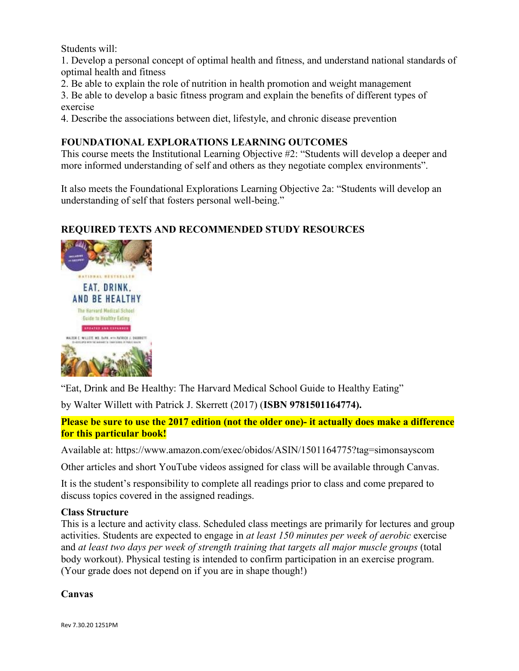Students will:

1. Develop a personal concept of optimal health and fitness, and understand national standards of optimal health and fitness

2. Be able to explain the role of nutrition in health promotion and weight management

3. Be able to develop a basic fitness program and explain the benefits of different types of exercise

4. Describe the associations between diet, lifestyle, and chronic disease prevention

**FOUNDATIONAL EXPLORATIONS LEARNING OUTCOMES**<br>This course meets the Institutional Learning Objective #2: "Students will develop a deeper and more informed understanding of self and others as they negotiate complex environments".

It also meets the Foundational Explorations Learning Objective 2a: "Students will develop an understanding of self that fosters personal well-being."

## **REQUIRED TEXTS AND RECOMMENDED STUDY RESOURCES**



"Eat, Drink and Be Healthy: The Harvard Medical School Guide to Healthy Eating"

by Walter Willett with Patrick J. Skerrett (2017) (**ISBN 9781501164774).**

**Please be sure to use the 2017 edition (not the older one)- it actually does make a difference for this particular book!**

Available at: https://www.amazon.com/exec/obidos/ASIN/1501164775?tag=simonsayscom

Other articles and short YouTube videos assigned for class will be available through Canvas.

It is the student's responsibility to complete all readings prior to class and come prepared to discuss topics covered in the assigned readings.

#### **Class Structure**

This is a lecture and activity class. Scheduled class meetings are primarily for lectures and group activities. Students are expected to engage in *at least 150 minutes per week of aerobic* exercise and *at least two days per week of strength training that targets all major muscle groups* (total body workout). Physical testing is intended to confirm participation in an exercise program. (Your grade does not depend on if you are in shape though!)

**Canvas**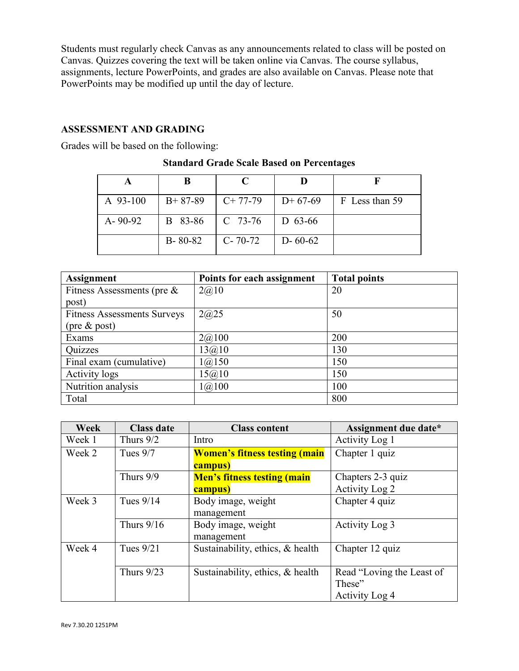Students must regularly check Canvas as any announcements related to class will be posted on Canvas. Quizzes covering the text will be taken online via Canvas. The course syllabus, assignments, lecture PowerPoints, and grades are also available on Canvas. Please note that PowerPoints may be modified up until the day of lecture.

#### **ASSESSMENT AND GRADING**

Grades will be based on the following:

|               | В             | C             |               |                |
|---------------|---------------|---------------|---------------|----------------|
| A 93-100      | $B+87-89$     | $C+77-79$     | $D+67-69$     | F Less than 59 |
| $A - 90 - 92$ | B 83-86       | $C$ 73-76     | $D$ 63-66     |                |
|               | $B - 80 - 82$ | $C - 70 - 72$ | $D - 60 - 62$ |                |

## **Standard Grade Scale Based on Percentages**

| <b>Assignment</b>                  | Points for each assignment | <b>Total points</b> |
|------------------------------------|----------------------------|---------------------|
| Fitness Assessments (pre $\&$      | 2(a)10                     | 20                  |
| post)                              |                            |                     |
| <b>Fitness Assessments Surveys</b> | 2@25                       | 50                  |
| $(\text{pre} \& \text{post})$      |                            |                     |
| Exams                              | 2(a)100                    | 200                 |
| Quizzes                            | 13@10                      | 130                 |
| Final exam (cumulative)            | 1(a)150                    | 150                 |
| Activity logs                      | 15@10                      | 150                 |
| Nutrition analysis                 | 1(a)100                    | 100                 |
| Total                              |                            | 800                 |

| <b>Week</b> | <b>Class date</b> | <b>Class content</b>                            | Assignment due date*                                  |
|-------------|-------------------|-------------------------------------------------|-------------------------------------------------------|
| Week 1      | Thurs $9/2$       | Intro                                           | Activity Log 1                                        |
| Week 2      | Tues $9/7$        | <b>Women's fitness testing (main</b><br>campus) | Chapter 1 quiz                                        |
|             | Thurs 9/9         | <b>Men's fitness testing (main</b>              | Chapters 2-3 quiz                                     |
|             |                   | campus)                                         | Activity Log 2                                        |
| Week 3      | Tues $9/14$       | Body image, weight<br>management                | Chapter 4 quiz                                        |
|             | Thurs $9/16$      | Body image, weight<br>management                | Activity Log 3                                        |
| Week 4      | Tues $9/21$       | Sustainability, ethics, & health                | Chapter 12 quiz                                       |
|             | Thurs $9/23$      | Sustainability, ethics, & health                | Read "Loving the Least of<br>These"<br>Activity Log 4 |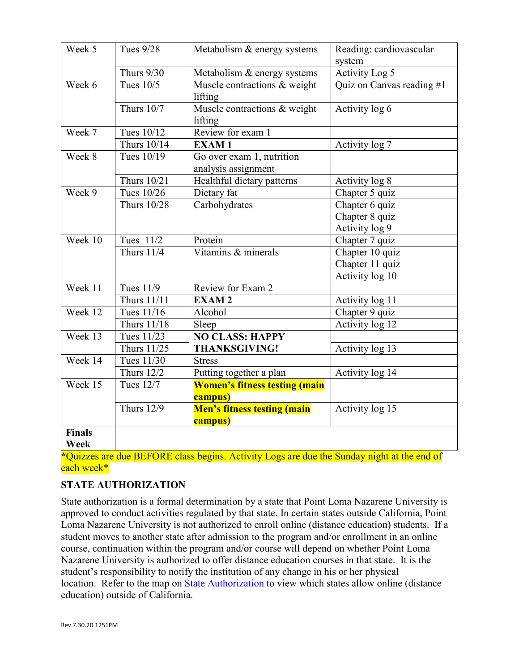| Week 5        | <b>Tues 9/28</b>   | Metabolism & energy systems                      | Reading: cardiovascular<br>system |
|---------------|--------------------|--------------------------------------------------|-----------------------------------|
|               | <b>Thurs 9/30</b>  | Metabolism & energy systems                      | Activity Log 5                    |
| Week 6        | Tues $10/5$        | Muscle contractions & weight<br>lifting          | Quiz on Canvas reading #1         |
|               | <b>Thurs 10/7</b>  | Muscle contractions & weight<br>lifting          | Activity log 6                    |
| Week 7        | Tues 10/12         | Review for exam 1                                |                                   |
|               | Thurs 10/14        | <b>EXAM1</b>                                     | Activity log 7                    |
| Week 8        | Tues 10/19         | Go over exam 1, nutrition<br>analysis assignment |                                   |
|               | Thurs 10/21        | Healthful dietary patterns                       | Activity log 8                    |
| Week 9        | Tues 10/26         | Dietary fat                                      | Chapter 5 quiz                    |
|               | <b>Thurs 10/28</b> | Carbohydrates                                    | Chapter 6 quiz                    |
|               |                    |                                                  | Chapter 8 quiz                    |
|               |                    |                                                  | Activity log 9                    |
| Week 10       | Tues 11/2          | Protein                                          | Chapter 7 quiz                    |
|               | <b>Thurs 11/4</b>  | Vitamins & minerals                              | Chapter 10 quiz                   |
|               |                    |                                                  | Chapter 11 quiz                   |
|               |                    |                                                  | Activity log 10                   |
| Week 11       | <b>Tues 11/9</b>   | Review for Exam 2                                |                                   |
|               | <b>Thurs 11/11</b> | <b>EXAM2</b>                                     | Activity log 11                   |
| Week 12       | Tues 11/16         | Alcohol                                          | Chapter 9 quiz                    |
|               | Thurs 11/18        | Sleep                                            | Activity log 12                   |
| Week 13       | Tues 11/23         | <b>NO CLASS: HAPPY</b>                           |                                   |
|               | Thurs 11/25        | <b>THANKSGIVING!</b>                             | Activity log 13                   |
| Week 14       | Tues 11/30         | <b>Stress</b>                                    |                                   |
|               | <b>Thurs 12/2</b>  | Putting together a plan                          | Activity log 14                   |
| Week 15       | Tues 12/7          | <b>Women's fitness testing (main</b>             |                                   |
|               |                    | campus)                                          |                                   |
|               | <b>Thurs 12/9</b>  | <b>Men's fitness testing (main</b>               | Activity log 15                   |
|               |                    | campus)                                          |                                   |
| <b>Finals</b> |                    |                                                  |                                   |
| Week          |                    |                                                  |                                   |

**\***Quizzes are due BEFORE class begins. Activity Logs are due the Sunday night at the end of each week\*

# **STATE AUTHORIZATION**

State authorization is a formal determination by a state that Point Loma Nazarene University is approved to conduct activities regulated by that state. In certain states outside California, Point Loma Nazarene University is not authorized to enroll online (distance education) students. If a student moves to another state after admission to the program and/or enrollment in an online course, continuation within the program and/or course will depend on whether Point Loma Nazarene University is authorized to offer distance education courses in that state. It is the student's responsibility to notify the institution of any change in his or her physical location. Refer to the map on [State Authorization](https://www.pointloma.edu/offices/office-institutional-effectiveness-research/disclosures) to view which states allow online (distance education) outside of California.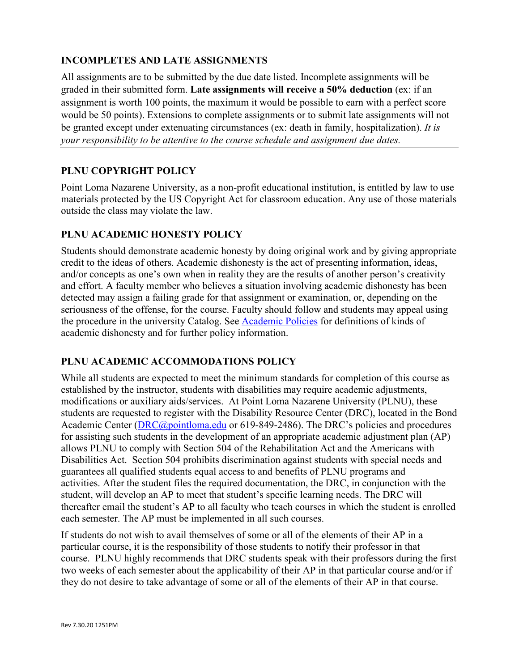## **INCOMPLETES AND LATE ASSIGNMENTS**

All assignments are to be submitted by the due date listed. Incomplete assignments will be graded in their submitted form. **Late assignments will receive a 50% deduction** (ex: if an assignment is worth 100 points, the maximum it would be possible to earn with a perfect score would be 50 points). Extensions to complete assignments or to submit late assignments will not be granted except under extenuating circumstances (ex: death in family, hospitalization). *It is your responsibility to be attentive to the course schedule and assignment due dates.*

## **PLNU COPYRIGHT POLICY**

Point Loma Nazarene University, as a non-profit educational institution, is entitled by law to use materials protected by the US Copyright Act for classroom education. Any use of those materials outside the class may violate the law.

## **PLNU ACADEMIC HONESTY POLICY**

Students should demonstrate academic honesty by doing original work and by giving appropriate credit to the ideas of others. Academic dishonesty is the act of presenting information, ideas, and/or concepts as one's own when in reality they are the results of another person's creativity and effort. A faculty member who believes a situation involving academic dishonesty has been detected may assign a failing grade for that assignment or examination, or, depending on the seriousness of the offense, for the course. Faculty should follow and students may appeal using the procedure in the university Catalog. See [Academic Policies](https://catalog.pointloma.edu/content.php?catoid=41&navoid=2435#Academic_Honesty) for definitions of kinds of academic dishonesty and for further policy information.

## **PLNU ACADEMIC ACCOMMODATIONS POLICY**

While all students are expected to meet the minimum standards for completion of this course as established by the instructor, students with disabilities may require academic adjustments, modifications or auxiliary aids/services. At Point Loma Nazarene University (PLNU), these students are requested to register with the Disability Resource Center (DRC), located in the Bond Academic Center [\(DRC@pointloma.edu](mailto:DRC@pointloma.edu) or 619-849-2486). The DRC's policies and procedures for assisting such students in the development of an appropriate academic adjustment plan (AP) allows PLNU to comply with Section 504 of the Rehabilitation Act and the Americans with Disabilities Act. Section 504 prohibits discrimination against students with special needs and guarantees all qualified students equal access to and benefits of PLNU programs and activities. After the student files the required documentation, the DRC, in conjunction with the student, will develop an AP to meet that student's specific learning needs. The DRC will thereafter email the student's AP to all faculty who teach courses in which the student is enrolled each semester. The AP must be implemented in all such courses.

If students do not wish to avail themselves of some or all of the elements of their AP in a particular course, it is the responsibility of those students to notify their professor in that course. PLNU highly recommends that DRC students speak with their professors during the first two weeks of each semester about the applicability of their AP in that particular course and/or if they do not desire to take advantage of some or all of the elements of their AP in that course.